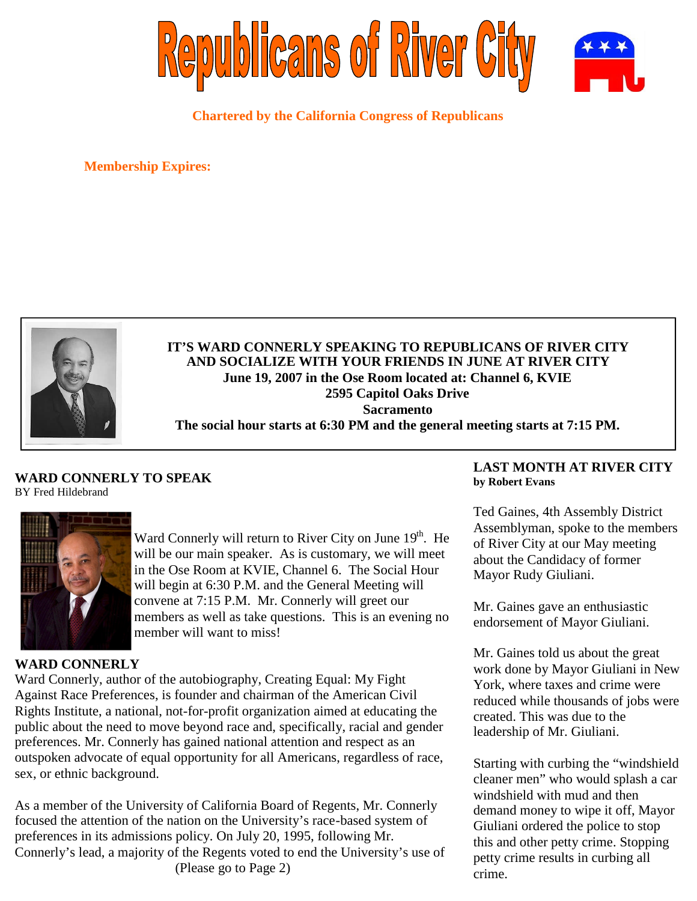

**Chartered by the California Congress of Republicans**

**Membership Expires:**



**IT'S WARD CONNERLY SPEAKING TO REPUBLICANS OF RIVER CITY AND SOCIALIZE WITH YOUR FRIENDS IN JUNE AT RIVER CITY June 19, 2007 in the Ose Room located at: Channel 6, KVIE 2595 Capitol Oaks Drive Sacramento The social hour starts at 6:30 PM and the general meeting starts at 7:15 PM.**

## **WARD CONNERLY TO SPEAK** BY Fred Hildebrand



Ward Connerly will return to River City on June 19<sup>th</sup>. He will be our main speaker. As is customary, we will meet in the Ose Room at KVIE, Channel 6. The Social Hour will begin at 6:30 P.M. and the General Meeting will convene at 7:15 P.M. Mr. Connerly will greet our members as well as take questions. This is an evening no member will want to miss!

## **WARD CONNERLY**

Ward Connerly, author of the autobiography, Creating Equal: My Fight Against Race Preferences, is founder and chairman of the American Civil Rights Institute, a national, not-for-profit organization aimed at educating the public about the need to move beyond race and, specifically, racial and gender preferences. Mr. Connerly has gained national attention and respect as an outspoken advocate of equal opportunity for all Americans, regardless of race, sex, or ethnic background.

As a member of the University of California Board of Regents, Mr. Connerly focused the attention of the nation on the University's race-based system of preferences in its admissions policy. On July 20, 1995, following Mr. Connerly's lead, a majority of the Regents voted to end the University's use of (Please go to Page 2)

# **LAST MONTH AT RIVER CITY by Robert Evans**

Ted Gaines, 4th Assembly District Assemblyman, spoke to the members of River City at our May meeting about the Candidacy of former Mayor Rudy Giuliani.

Mr. Gaines gave an enthusiastic endorsement of Mayor Giuliani.

Mr. Gaines told us about the great work done by Mayor Giuliani in New York, where taxes and crime were reduced while thousands of jobs were created. This was due to the leadership of Mr. Giuliani.

Starting with curbing the "windshield cleaner men" who would splash a car windshield with mud and then demand money to wipe it off, Mayor Giuliani ordered the police to stop this and other petty crime. Stopping petty crime results in curbing all crime.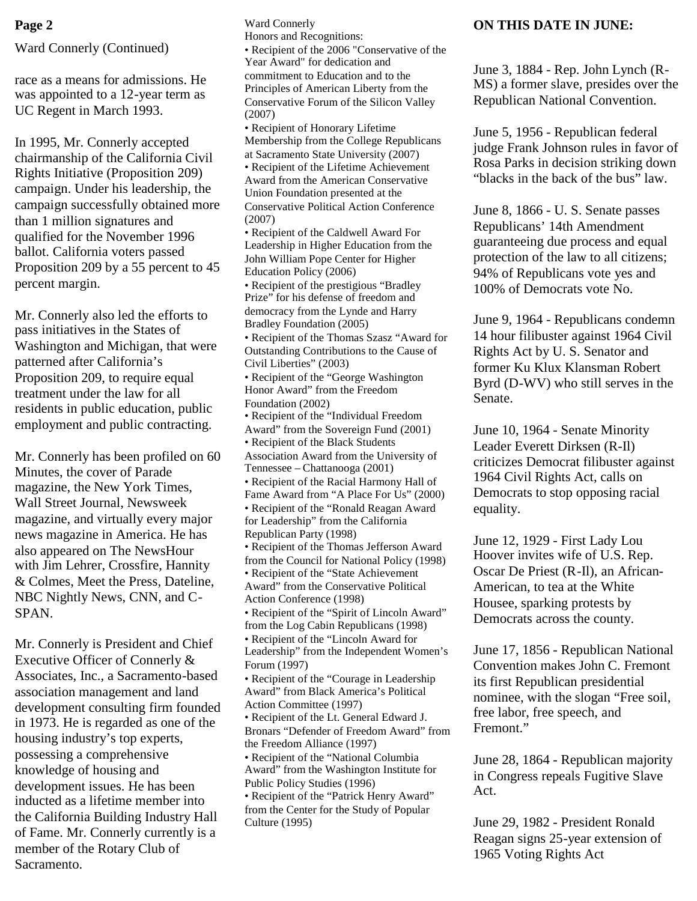Ward Connerly (Continued)

race as a means for admissions. He was appointed to a 12-year term as UC Regent in March 1993.

In 1995, Mr. Connerly accepted chairmanship of the California Civil Rights Initiative (Proposition 209) campaign. Under his leadership, the campaign successfully obtained more than 1 million signatures and qualified for the November 1996 ballot. California voters passed Proposition 209 by a 55 percent to 45 percent margin.

Mr. Connerly also led the efforts to pass initiatives in the States of Washington and Michigan, that were patterned after California's Proposition 209, to require equal treatment under the law for all residents in public education, public employment and public contracting.

Mr. Connerly has been profiled on 60 Minutes, the cover of Parade magazine, the New York Times, Wall Street Journal, Newsweek magazine, and virtually every major news magazine in America. He has also appeared on The NewsHour with Jim Lehrer, Crossfire, Hannity & Colmes, Meet the Press, Dateline, NBC Nightly News, CNN, and C-SPAN.

Mr. Connerly is President and Chief Executive Officer of Connerly & Associates, Inc., a Sacramento-based association management and land development consulting firm founded in 1973. He is regarded as one of the housing industry's top experts, possessing a comprehensive knowledge of housing and development issues. He has been inducted as a lifetime member into the California Building Industry Hall of Fame. Mr. Connerly currently is a member of the Rotary Club of Sacramento.

Ward Connerly Honors and Recognitions: • Recipient of the 2006 "Conservative of the Year Award" for dedication and commitment to Education and to the Principles of American Liberty from the Conservative Forum of the Silicon Valley (2007) • Recipient of Honorary Lifetime Membership from the College Republicans at Sacramento State University (2007) • Recipient of the Lifetime Achievement Award from the American Conservative Union Foundation presented at the Conservative Political Action Conference (2007) **Page 2 ON THIS DATE IN JUNE:** 

• Recipient of the Caldwell Award For Leadership in Higher Education from the John William Pope Center for Higher Education Policy (2006)

• Recipient of the prestigious "Bradley Prize" for his defense of freedom and democracy from the Lynde and Harry Bradley Foundation (2005)

• Recipient of the Thomas Szasz "Award for Outstanding Contributions to the Cause of Civil Liberties" (2003)

• Recipient of the "George Washington Honor Award" from the Freedom Foundation (2002) • Recipient of the "Individual Freedom

Award" from the Sovereign Fund (2001)

• Recipient of the Black Students Association Award from the University of

Tennessee – Chattanooga (2001) • Recipient of the Racial Harmony Hall of

Fame Award from "A Place For Us" (2000) • Recipient of the "Ronald Reagan Award for Leadership" from the California

Republican Party (1998) • Recipient of the Thomas Jefferson Award from the Council for National Policy (1998) • Recipient of the "State Achievement Award" from the Conservative Political

Action Conference (1998) • Recipient of the "Spirit of Lincoln Award" from the Log Cabin Republicans (1998) • Recipient of the "Lincoln Award for Leadership" from the Independent Women's Forum (1997)

• Recipient of the "Courage in Leadership Award" from Black America's Political Action Committee (1997) • Recipient of the Lt. General Edward J. Bronars "Defender of Freedom Award" from the Freedom Alliance (1997)

• Recipient of the "National Columbia Award" from the Washington Institute for Public Policy Studies (1996)

• Recipient of the "Patrick Henry Award" from the Center for the Study of Popular Culture (1995)

June 3, 1884 - Rep. John Lynch (R-MS) a former slave, presides over the Republican National Convention.

June 5, 1956 - Republican federal judge Frank Johnson rules in favor of Rosa Parks in decision striking down "blacks in the back of the bus" law.

June 8, 1866 - U. S. Senate passes Republicans' 14th Amendment guaranteeing due process and equal protection of the law to all citizens; 94% of Republicans vote yes and 100% of Democrats vote No.

June 9, 1964 - Republicans condemn 14 hour filibuster against 1964 Civil Rights Act by U. S. Senator and former Ku Klux Klansman Robert Byrd (D-WV) who still serves in the Senate.

June 10, 1964 - Senate Minority Leader Everett Dirksen (R-Il) criticizes Democrat filibuster against 1964 Civil Rights Act, calls on Democrats to stop opposing racial equality.

June 12, 1929 - First Lady Lou Hoover invites wife of U.S. Rep. Oscar De Priest (R-Il), an African-American, to tea at the White Housee, sparking protests by Democrats across the county.

June 17, 1856 - Republican National Convention makes John C. Fremont its first Republican presidential nominee, with the slogan "Free soil, free labor, free speech, and Fremont."

June 28, 1864 - Republican majority in Congress repeals Fugitive Slave Act.

June 29, 1982 - President Ronald Reagan signs 25-year extension of 1965 Voting Rights Act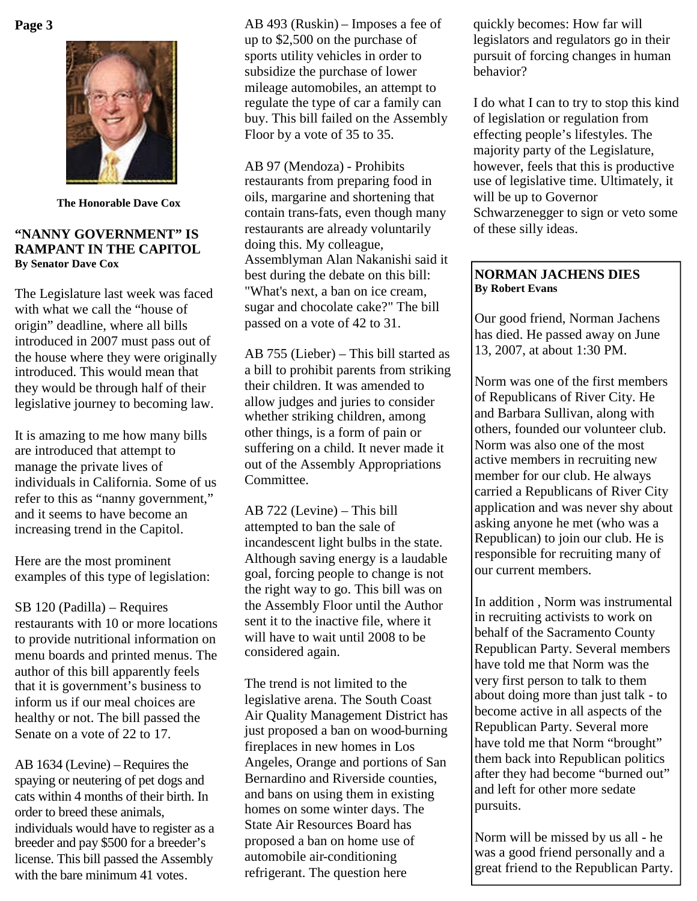

**The Honorable Dave Cox**

### **"NANNY GOVERNMENT" IS RAMPANT IN THE CAPITOL By Senator Dave Cox**

The Legislature last week was faced with what we call the "house of origin" deadline, where all bills introduced in 2007 must pass out of the house where they were originally introduced. This would mean that they would be through half of their legislative journey to becoming law.

It is amazing to me how many bills are introduced that attempt to manage the private lives of individuals in California. Some of us refer to this as "nanny government," and it seems to have become an increasing trend in the Capitol.

Here are the most prominent examples of this type of legislation:

SB 120 (Padilla) – Requires restaurants with 10 or more locations to provide nutritional information on menu boards and printed menus. The author of this bill apparently feels that it is government's business to inform us if our meal choices are healthy or not. The bill passed the Senate on a vote of 22 to 17.

AB 1634 (Levine) –Requires the spaying or neutering of pet dogs and cats within 4 months of their birth. In order to breed these animals, individuals would have to register as a breeder and pay \$500 for a breeder's license. This bill passed the Assembly with the bare minimum 41 votes.

**Page 3** AB 493 (Ruskin) – Imposes a fee of quickly becomes: How far will up to \$2,500 on the purchase of sports utility vehicles in order to subsidize the purchase of lower mileage automobiles, an attempt to regulate the type of car a family can buy. This bill failed on the Assembly Floor by a vote of 35 to 35.

> AB 97 (Mendoza) - Prohibits restaurants from preparing food in oils, margarine and shortening that contain trans-fats, even though many restaurants are already voluntarily doing this. My colleague, Assemblyman Alan Nakanishi said it best during the debate on this bill: "What's next, a ban on ice cream, sugar and chocolate cake?" The bill passed on a vote of 42 to 31.

AB 755 (Lieber) – This bill started as a bill to prohibit parents from striking their children. It was amended to allow judges and juries to consider whether striking children, among other things, is a form of pain or suffering on a child. It never made it out of the Assembly Appropriations Committee.

AB 722 (Levine) – This bill attempted to ban the sale of incandescent light bulbs in the state. Although saving energy is a laudable goal, forcing people to change is not the right way to go. This bill was on the Assembly Floor until the Author sent it to the inactive file, where it will have to wait until 2008 to be considered again.

The trend is not limited to the legislative arena. The South Coast Air Quality Management District has just proposed a ban on wood-burning fireplaces in new homes in Los Angeles, Orange and portions of San Bernardino and Riverside counties, and bans on using them in existing homes on some winter days. The State Air Resources Board has proposed a ban on home use of automobile air-conditioning refrigerant. The question here

legislators and regulators go in their pursuit of forcing changes in human behavior?

I do what I can to try to stop this kind of legislation or regulation from effecting people's lifestyles. The majority party of the Legislature, however, feels that this is productive use of legislative time. Ultimately, it will be up to Governor Schwarzenegger to sign or veto some of these silly ideas.

# **NORMAN JACHENS DIES By Robert Evans**

Our good friend, Norman Jachens has died. He passed away on June 13, 2007, at about 1:30 PM.

Norm was one of the first members of Republicans of River City. He and Barbara Sullivan, along with others, founded our volunteer club. Norm was also one of the most active members in recruiting new member for our club. He always carried a Republicans of River City application and was never shy about asking anyone he met (who was a Republican) to join our club. He is responsible for recruiting many of our current members.

In addition , Norm was instrumental in recruiting activists to work on behalf of the Sacramento County Republican Party. Several members have told me that Norm was the very first person to talk to them about doing more than just talk - to become active in all aspects of the Republican Party. Several more have told me that Norm "brought" them back into Republican politics after they had become "burned out" and left for other more sedate pursuits.

Norm will be missed by us all - he was a good friend personally and a great friend to the Republican Party.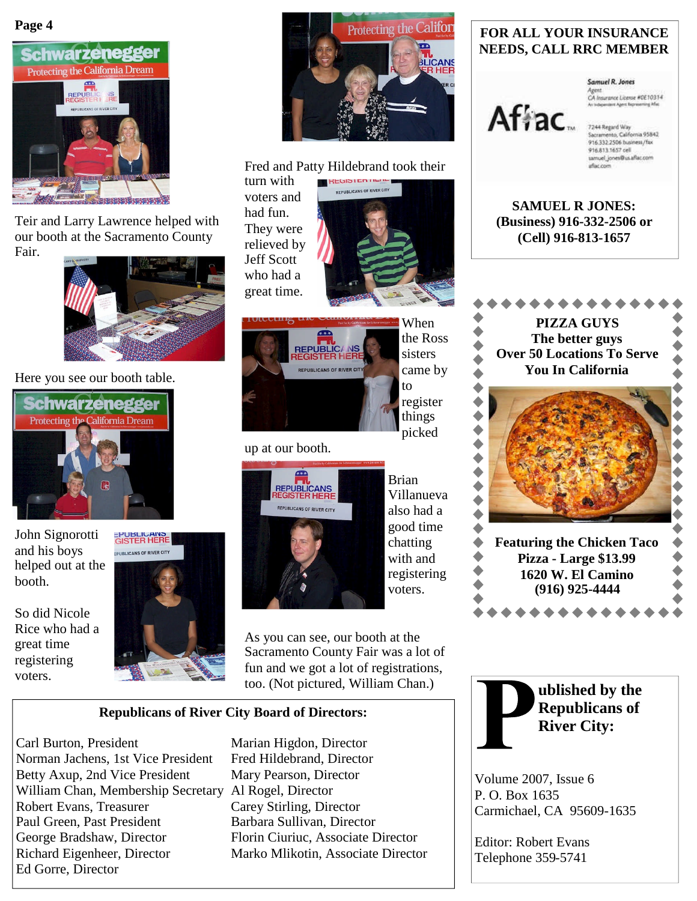**Page 4**



Teir and Larry Lawrence helped with our booth at the Sacramento County Fair.



Here you see our booth table.



John Signorotti and his boys helped out at the booth.

So did Nicole Rice who had a great time registering voters.





#### Fred and Patty Hildebrand took their **HERIOTEN TILLIE**

turn with voters and had fun. They were relieved by Jeff Scott who had a great time.





When the Ross sisters came by to register things picked

Brian Villanueva also had a good time chatting with and

# up at our booth.



registering voters. As you can see, our booth at the Sacramento County Fair was a lot of

fun and we got a lot of registrations, too. (Not pictured, William Chan.)

# **Republicans of River City Board of Directors:**

Carl Burton, President Marian Higdon, Director Norman Jachens, 1st Vice President Fred Hildebrand, Director Betty Axup, 2nd Vice President Mary Pearson, Director William Chan, Membership Secretary Al Rogel, Director Robert Evans, Treasurer Carey Stirling, Director Paul Green, Past President Barbara Sullivan, Director George Bradshaw, Director Florin Ciuriuc, Associate Director Richard Eigenheer, Director Marko Mlikotin, Associate Director Ed Gorre, Director

# **FOR ALL YOUR INSURANCE NEEDS, CALL RRC MEMBER**

# Afiac.

**Samuel R. Jones** Agent<br>CA Insurance Literae #0E10314

7244 Regard Way Sacramento, California 95842<br>916.332.2506 business/fax 916.813.1657 cell samuel\_jones@us.aflac.com aflac.com

**SAMUEL R JONES: (Business) 916-332-2506 or (Cell) 916-813-1657**



**1620 W. El Camino (916) 925-4444** \*\*\*\*\*



Volume 2007, Issue 6 P. O. Box 1635 Carmichael, CA 95609-1635

Editor: Robert Evans Telephone 359-5741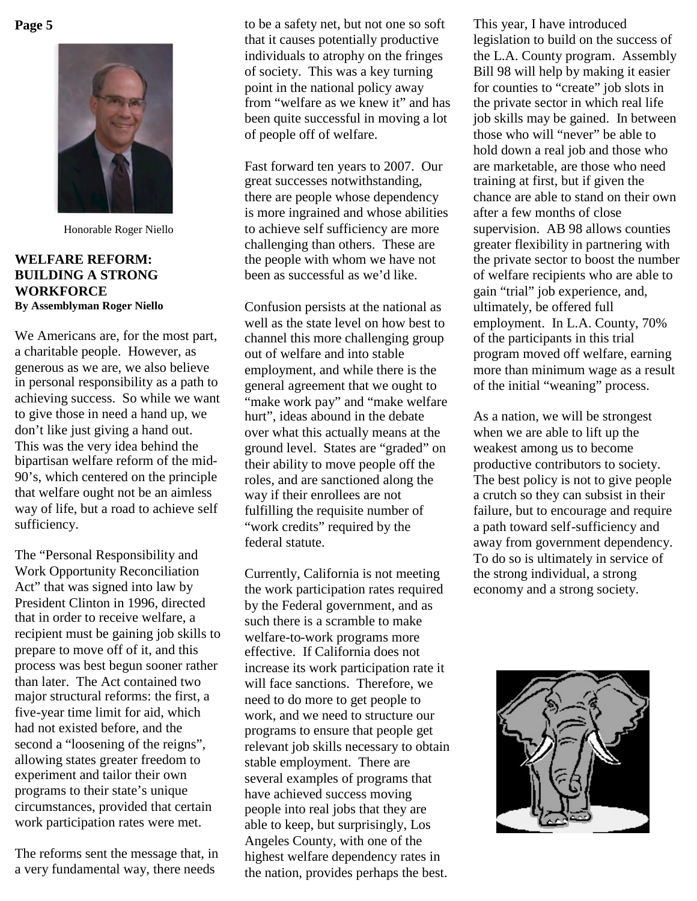**Page 5**



Honorable Roger Niello

# **WELFARE REFORM: BUILDING A STRONG WORKFORCE By Assemblyman Roger Niello**

We Americans are, for the most part, a charitable people. However, as generous as we are, we also believe in personal responsibility as a path to achieving success. So while we want to give those in need a hand up, we don't like just giving a hand out. This was the very idea behind the bipartisan welfare reform of the mid-90's, which centered on the principle that welfare ought not be an aimless way of life, but a road to achieve self sufficiency.

The "Personal Responsibility and Work Opportunity Reconciliation Act" that was signed into law by President Clinton in 1996, directed that in order to receive welfare, a recipient must be gaining job skills to prepare to move off of it, and this process was best begun sooner rather than later. The Act contained two major structural reforms: the first, a five-year time limit for aid, which had not existed before, and the second a "loosening of the reigns", allowing states greater freedom to experiment and tailor their own programs to their state's unique circumstances, provided that certain work participation rates were met.

The reforms sent the message that, in a very fundamental way, there needs

to be a safety net, but not one so soft that it causes potentially productive individuals to atrophy on the fringes of society. This was a key turning point in the national policy away from "welfare as we knew it" and has been quite successful in moving a lot of people off of welfare.

Fast forward ten years to 2007. Our great successes notwithstanding, there are people whose dependency is more ingrained and whose abilities to achieve self sufficiency are more challenging than others. These are the people with whom we have not been as successful as we'd like.

Confusion persists at the national as well as the state level on how best to channel this more challenging group out of welfare and into stable employment, and while there is the general agreement that we ought to "make work pay" and "make welfare" hurt", ideas abound in the debate over what this actually means at the ground level. States are "graded" on their ability to move people off the roles, and are sanctioned along the way if their enrollees are not fulfilling the requisite number of "work credits" required by the federal statute.

Currently, California is not meeting the work participation rates required by the Federal government, and as such there is a scramble to make welfare-to-work programs more effective. If California does not increase its work participation rate it will face sanctions. Therefore, we need to do more to get people to work, and we need to structure our programs to ensure that people get relevant job skills necessary to obtain stable employment. There are several examples of programs that have achieved success moving people into real jobs that they are able to keep, but surprisingly, Los Angeles County, with one of the highest welfare dependency rates in the nation, provides perhaps the best.

This year, I have introduced legislation to build on the success of the L.A. County program. Assembly Bill 98 will help by making it easier for counties to "create" job slots in the private sector in which real life job skills may be gained. In between those who will "never" be able to hold down a real job and those who are marketable, are those who need training at first, but if given the chance are able to stand on their own after a few months of close supervision. AB 98 allows counties greater flexibility in partnering with the private sector to boost the number of welfare recipients who are able to gain "trial" job experience, and, ultimately, be offered full employment. In L.A. County, 70% of the participants in this trial program moved off welfare, earning more than minimum wage as a result of the initial "weaning" process.

As a nation, we will be strongest when we are able to lift up the weakest among us to become productive contributors to society. The best policy is not to give people a crutch so they can subsist in their failure, but to encourage and require a path toward self-sufficiency and away from government dependency. To do so is ultimately in service of the strong individual, a strong economy and a strong society.